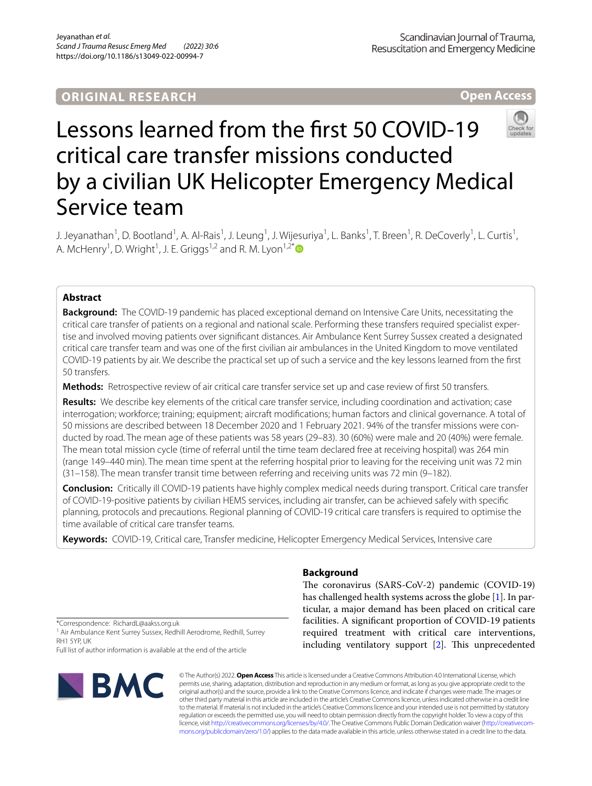## **ORIGINAL RESEARCH**

**Open Access**

# Lessons learned from the frst 50 COVID-19 critical care transfer missions conducted by a civilian UK Helicopter Emergency Medical Service team

J. Jeyanathan<sup>1</sup>, D. Bootland<sup>1</sup>, A. Al-Rais<sup>1</sup>, J. Leung<sup>1</sup>, J. Wijesuriya<sup>1</sup>, L. Banks<sup>1</sup>, T. Breen<sup>1</sup>, R. DeCoverly<sup>1</sup>, L. Curtis<sup>1</sup>, A. McHenry<sup>1</sup>, D. Wright<sup>1</sup>, J. E. Griggs<sup>1,2</sup> and R. M. Lyon<sup>1,2[\\*](http://orcid.org/0000-0002-6339-5666)</sup>

## **Abstract**

**Background:** The COVID-19 pandemic has placed exceptional demand on Intensive Care Units, necessitating the critical care transfer of patients on a regional and national scale. Performing these transfers required specialist exper‑ tise and involved moving patients over signifcant distances. Air Ambulance Kent Surrey Sussex created a designated critical care transfer team and was one of the frst civilian air ambulances in the United Kingdom to move ventilated COVID-19 patients by air. We describe the practical set up of such a service and the key lessons learned from the frst 50 transfers.

**Methods:** Retrospective review of air critical care transfer service set up and case review of frst 50 transfers.

**Results:** We describe key elements of the critical care transfer service, including coordination and activation; case interrogation; workforce; training; equipment; aircraft modifcations; human factors and clinical governance. A total of 50 missions are described between 18 December 2020 and 1 February 2021. 94% of the transfer missions were conducted by road. The mean age of these patients was 58 years (29–83). 30 (60%) were male and 20 (40%) were female. The mean total mission cycle (time of referral until the time team declared free at receiving hospital) was 264 min (range 149–440 min). The mean time spent at the referring hospital prior to leaving for the receiving unit was 72 min (31–158). The mean transfer transit time between referring and receiving units was 72 min (9–182).

**Conclusion:** Critically ill COVID-19 patients have highly complex medical needs during transport. Critical care transfer of COVID-19-positive patients by civilian HEMS services, including air transfer, can be achieved safely with specifc planning, protocols and precautions. Regional planning of COVID-19 critical care transfers is required to optimise the time available of critical care transfer teams.

**Keywords:** COVID-19, Critical care, Transfer medicine, Helicopter Emergency Medical Services, Intensive care

## **Background**

The coronavirus (SARS-CoV-2) pandemic (COVID-19) has challenged health systems across the globe [\[1](#page-8-0)]. In particular, a major demand has been placed on critical care facilities. A signifcant proportion of COVID-19 patients required treatment with critical care interventions, including ventilatory support [[2\]](#page-8-1). This unprecedented

\*Correspondence: RichardL@aakss.org.uk

<sup>1</sup> Air Ambulance Kent Surrey Sussex, Redhill Aerodrome, Redhill, Surrey RH1 5YP, UK

Full list of author information is available at the end of the article



© The Author(s) 2022. **Open Access** This article is licensed under a Creative Commons Attribution 4.0 International License, which permits use, sharing, adaptation, distribution and reproduction in any medium or format, as long as you give appropriate credit to the original author(s) and the source, provide a link to the Creative Commons licence, and indicate if changes were made. The images or other third party material in this article are included in the article's Creative Commons licence, unless indicated otherwise in a credit line to the material. If material is not included in the article's Creative Commons licence and your intended use is not permitted by statutory regulation or exceeds the permitted use, you will need to obtain permission directly from the copyright holder. To view a copy of this licence, visit [http://creativecommons.org/licenses/by/4.0/.](http://creativecommons.org/licenses/by/4.0/) The Creative Commons Public Domain Dedication waiver (http://creativecom[mons.org/publicdomain/zero/1.0/\)](http://creativecommons.org/publicdomain/zero/1.0/) applies to the data made available in this article, unless otherwise stated in a credit line to the data.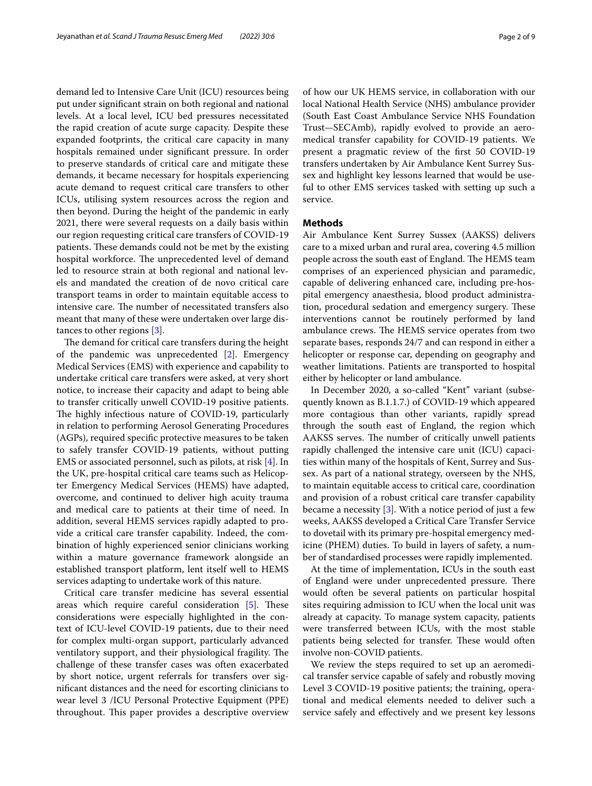demand led to Intensive Care Unit (ICU) resources being put under signifcant strain on both regional and national levels. At a local level, ICU bed pressures necessitated the rapid creation of acute surge capacity. Despite these expanded footprints, the critical care capacity in many hospitals remained under signifcant pressure. In order to preserve standards of critical care and mitigate these demands, it became necessary for hospitals experiencing acute demand to request critical care transfers to other ICUs, utilising system resources across the region and then beyond. During the height of the pandemic in early 2021, there were several requests on a daily basis within our region requesting critical care transfers of COVID-19 patients. These demands could not be met by the existing hospital workforce. The unprecedented level of demand led to resource strain at both regional and national levels and mandated the creation of de novo critical care transport teams in order to maintain equitable access to intensive care. The number of necessitated transfers also meant that many of these were undertaken over large distances to other regions [\[3](#page-8-2)].

The demand for critical care transfers during the height of the pandemic was unprecedented [\[2](#page-8-1)]. Emergency Medical Services (EMS) with experience and capability to undertake critical care transfers were asked, at very short notice, to increase their capacity and adapt to being able to transfer critically unwell COVID-19 positive patients. The highly infectious nature of COVID-19, particularly in relation to performing Aerosol Generating Procedures (AGPs), required specifc protective measures to be taken to safely transfer COVID-19 patients, without putting EMS or associated personnel, such as pilots, at risk [\[4](#page-8-3)]. In the UK, pre-hospital critical care teams such as Helicopter Emergency Medical Services (HEMS) have adapted, overcome, and continued to deliver high acuity trauma and medical care to patients at their time of need. In addition, several HEMS services rapidly adapted to provide a critical care transfer capability. Indeed, the combination of highly experienced senior clinicians working within a mature governance framework alongside an established transport platform, lent itself well to HEMS services adapting to undertake work of this nature.

Critical care transfer medicine has several essential areas which require careful consideration  $[5]$  $[5]$ . These considerations were especially highlighted in the context of ICU-level COVID-19 patients, due to their need for complex multi-organ support, particularly advanced ventilatory support, and their physiological fragility. The challenge of these transfer cases was often exacerbated by short notice, urgent referrals for transfers over signifcant distances and the need for escorting clinicians to wear level 3 /ICU Personal Protective Equipment (PPE) throughout. This paper provides a descriptive overview of how our UK HEMS service, in collaboration with our local National Health Service (NHS) ambulance provider (South East Coast Ambulance Service NHS Foundation Trust—SECAmb), rapidly evolved to provide an aeromedical transfer capability for COVID-19 patients. We present a pragmatic review of the frst 50 COVID-19 transfers undertaken by Air Ambulance Kent Surrey Sussex and highlight key lessons learned that would be useful to other EMS services tasked with setting up such a service.

## **Methods**

Air Ambulance Kent Surrey Sussex (AAKSS) delivers care to a mixed urban and rural area, covering 4.5 million people across the south east of England. The HEMS team comprises of an experienced physician and paramedic, capable of delivering enhanced care, including pre-hospital emergency anaesthesia, blood product administration, procedural sedation and emergency surgery. These interventions cannot be routinely performed by land ambulance crews. The HEMS service operates from two separate bases, responds 24/7 and can respond in either a helicopter or response car, depending on geography and weather limitations. Patients are transported to hospital either by helicopter or land ambulance.

In December 2020, a so-called "Kent" variant (subsequently known as B.1.1.7.) of COVID-19 which appeared more contagious than other variants, rapidly spread through the south east of England, the region which AAKSS serves. The number of critically unwell patients rapidly challenged the intensive care unit (ICU) capacities within many of the hospitals of Kent, Surrey and Sussex. As part of a national strategy, overseen by the NHS, to maintain equitable access to critical care, coordination and provision of a robust critical care transfer capability became a necessity [\[3](#page-8-2)]. With a notice period of just a few weeks, AAKSS developed a Critical Care Transfer Service to dovetail with its primary pre-hospital emergency medicine (PHEM) duties. To build in layers of safety, a number of standardised processes were rapidly implemented.

At the time of implementation, ICUs in the south east of England were under unprecedented pressure. There would often be several patients on particular hospital sites requiring admission to ICU when the local unit was already at capacity. To manage system capacity, patients were transferred between ICUs, with the most stable patients being selected for transfer. These would often involve non-COVID patients.

We review the steps required to set up an aeromedical transfer service capable of safely and robustly moving Level 3 COVID-19 positive patients; the training, operational and medical elements needed to deliver such a service safely and efectively and we present key lessons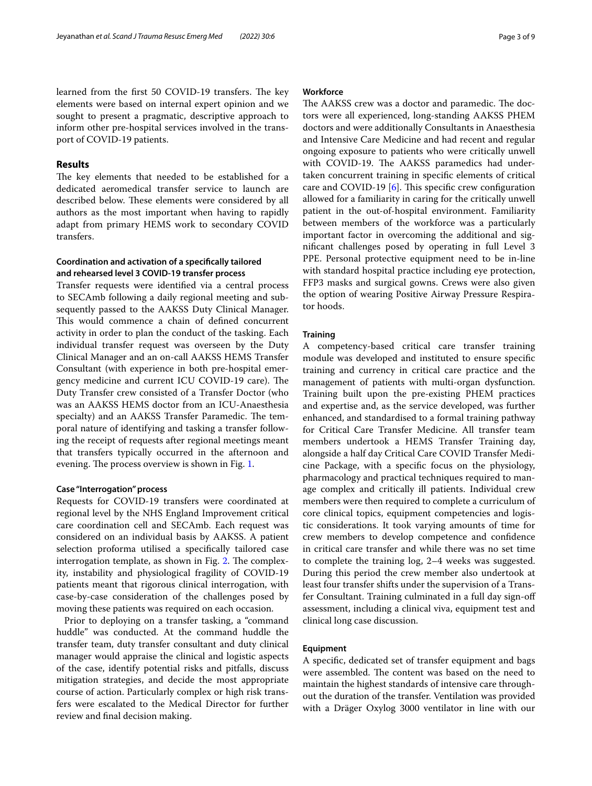learned from the first 50 COVID-19 transfers. The key elements were based on internal expert opinion and we sought to present a pragmatic, descriptive approach to inform other pre-hospital services involved in the transport of COVID-19 patients.

## **Results**

The key elements that needed to be established for a dedicated aeromedical transfer service to launch are described below. These elements were considered by all authors as the most important when having to rapidly adapt from primary HEMS work to secondary COVID transfers.

## **Coordination and activation of a specifcally tailored and rehearsed level 3 COVID‑19 transfer process**

Transfer requests were identifed via a central process to SECAmb following a daily regional meeting and subsequently passed to the AAKSS Duty Clinical Manager. This would commence a chain of defined concurrent activity in order to plan the conduct of the tasking. Each individual transfer request was overseen by the Duty Clinical Manager and an on-call AAKSS HEMS Transfer Consultant (with experience in both pre-hospital emergency medicine and current ICU COVID-19 care). The Duty Transfer crew consisted of a Transfer Doctor (who was an AAKSS HEMS doctor from an ICU-Anaesthesia specialty) and an AAKSS Transfer Paramedic. The temporal nature of identifying and tasking a transfer following the receipt of requests after regional meetings meant that transfers typically occurred in the afternoon and evening. The process overview is shown in Fig. [1.](#page-3-0)

## **Case "Interrogation" process**

Requests for COVID-19 transfers were coordinated at regional level by the NHS England Improvement critical care coordination cell and SECAmb. Each request was considered on an individual basis by AAKSS. A patient selection proforma utilised a specifcally tailored case interrogation template, as shown in Fig. [2.](#page-4-0) The complexity, instability and physiological fragility of COVID-19 patients meant that rigorous clinical interrogation, with case-by-case consideration of the challenges posed by moving these patients was required on each occasion.

Prior to deploying on a transfer tasking, a "command huddle" was conducted. At the command huddle the transfer team, duty transfer consultant and duty clinical manager would appraise the clinical and logistic aspects of the case, identify potential risks and pitfalls, discuss mitigation strategies, and decide the most appropriate course of action. Particularly complex or high risk transfers were escalated to the Medical Director for further review and fnal decision making.

## **Workforce**

The AAKSS crew was a doctor and paramedic. The doctors were all experienced, long-standing AAKSS PHEM doctors and were additionally Consultants in Anaesthesia and Intensive Care Medicine and had recent and regular ongoing exposure to patients who were critically unwell with COVID-19. The AAKSS paramedics had undertaken concurrent training in specifc elements of critical care and COVID-19  $[6]$ . This specific crew configuration allowed for a familiarity in caring for the critically unwell patient in the out-of-hospital environment. Familiarity between members of the workforce was a particularly important factor in overcoming the additional and signifcant challenges posed by operating in full Level 3 PPE. Personal protective equipment need to be in-line with standard hospital practice including eye protection, FFP3 masks and surgical gowns. Crews were also given the option of wearing Positive Airway Pressure Respirator hoods.

## **Training**

A competency-based critical care transfer training module was developed and instituted to ensure specifc training and currency in critical care practice and the management of patients with multi-organ dysfunction. Training built upon the pre-existing PHEM practices and expertise and, as the service developed, was further enhanced, and standardised to a formal training pathway for Critical Care Transfer Medicine. All transfer team members undertook a HEMS Transfer Training day, alongside a half day Critical Care COVID Transfer Medicine Package, with a specifc focus on the physiology, pharmacology and practical techniques required to manage complex and critically ill patients. Individual crew members were then required to complete a curriculum of core clinical topics, equipment competencies and logistic considerations. It took varying amounts of time for crew members to develop competence and confdence in critical care transfer and while there was no set time to complete the training log, 2–4 weeks was suggested. During this period the crew member also undertook at least four transfer shifts under the supervision of a Transfer Consultant. Training culminated in a full day sign-of assessment, including a clinical viva, equipment test and clinical long case discussion.

## **Equipment**

A specifc, dedicated set of transfer equipment and bags were assembled. The content was based on the need to maintain the highest standards of intensive care throughout the duration of the transfer. Ventilation was provided with a Dräger Oxylog 3000 ventilator in line with our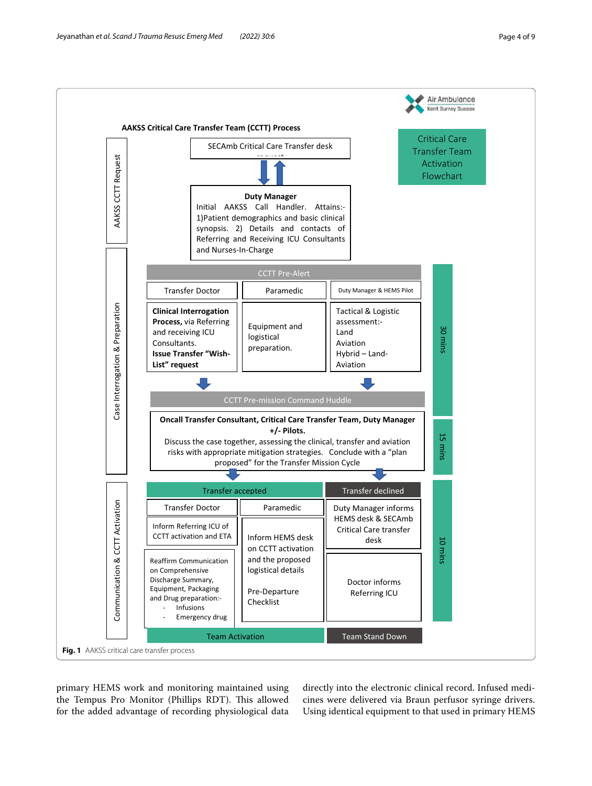

<span id="page-3-0"></span>primary HEMS work and monitoring maintained using the Tempus Pro Monitor (Phillips RDT). This allowed for the added advantage of recording physiological data directly into the electronic clinical record. Infused medicines were delivered via Braun perfusor syringe drivers. Using identical equipment to that used in primary HEMS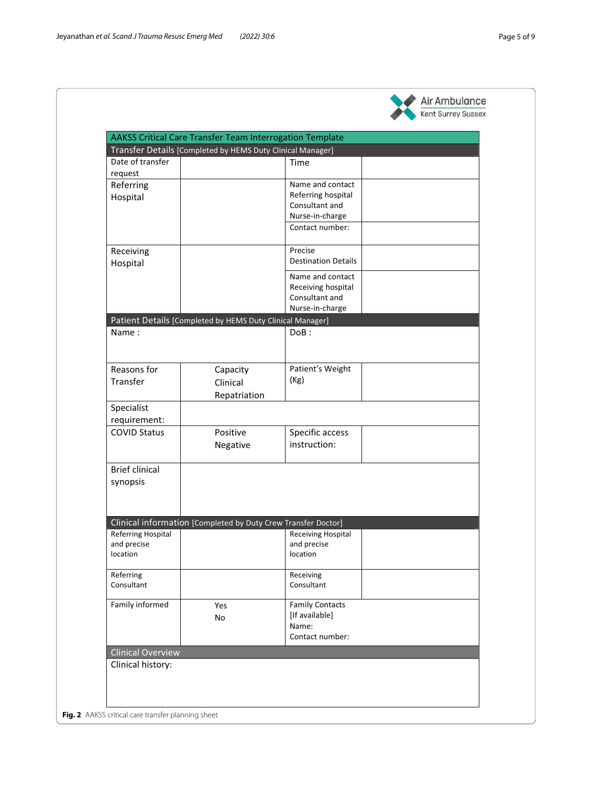<span id="page-4-0"></span>**Fig. 2** 



| Date of transfer          | Transfer Details [Completed by HEMS Duty Clinical Manager]    | Time                       |  |
|---------------------------|---------------------------------------------------------------|----------------------------|--|
| request                   |                                                               |                            |  |
| Referring                 |                                                               | Name and contact           |  |
|                           |                                                               | Referring hospital         |  |
| Hospital                  |                                                               | Consultant and             |  |
|                           |                                                               | Nurse-in-charge            |  |
|                           |                                                               | Contact number:            |  |
|                           |                                                               |                            |  |
| Receiving                 |                                                               | Precise                    |  |
| Hospital                  |                                                               | <b>Destination Details</b> |  |
|                           |                                                               | Name and contact           |  |
|                           |                                                               | Receiving hospital         |  |
|                           |                                                               | Consultant and             |  |
|                           |                                                               | Nurse-in-charge            |  |
|                           | Patient Details [Completed by HEMS Duty Clinical Manager]     |                            |  |
| Name:                     |                                                               | DoB:                       |  |
|                           |                                                               |                            |  |
|                           |                                                               |                            |  |
| Reasons for               | Capacity                                                      | Patient's Weight           |  |
| Transfer                  | Clinical                                                      | (Kg)                       |  |
|                           |                                                               |                            |  |
|                           | Repatriation                                                  |                            |  |
| Specialist                |                                                               |                            |  |
| requirement:              |                                                               |                            |  |
| <b>COVID Status</b>       | Positive                                                      | Specific access            |  |
|                           | Negative                                                      | instruction:               |  |
|                           |                                                               |                            |  |
| <b>Brief clinical</b>     |                                                               |                            |  |
| synopsis                  |                                                               |                            |  |
|                           |                                                               |                            |  |
|                           |                                                               |                            |  |
|                           |                                                               |                            |  |
|                           | Clinical information [Completed by Duty Crew Transfer Doctor] |                            |  |
| <b>Referring Hospital</b> |                                                               | <b>Receiving Hospital</b>  |  |
| and precise<br>location   |                                                               | and precise<br>location    |  |
|                           |                                                               |                            |  |
| Referring                 |                                                               | Receiving                  |  |
| Consultant                |                                                               | Consultant                 |  |
|                           |                                                               |                            |  |
| Family informed           | Yes                                                           | <b>Family Contacts</b>     |  |
|                           | No                                                            | [If available]             |  |
|                           |                                                               | Name:                      |  |
|                           |                                                               | Contact number:            |  |
| <b>Clinical Overview</b>  |                                                               |                            |  |
| Clinical history:         |                                                               |                            |  |
|                           |                                                               |                            |  |
|                           |                                                               |                            |  |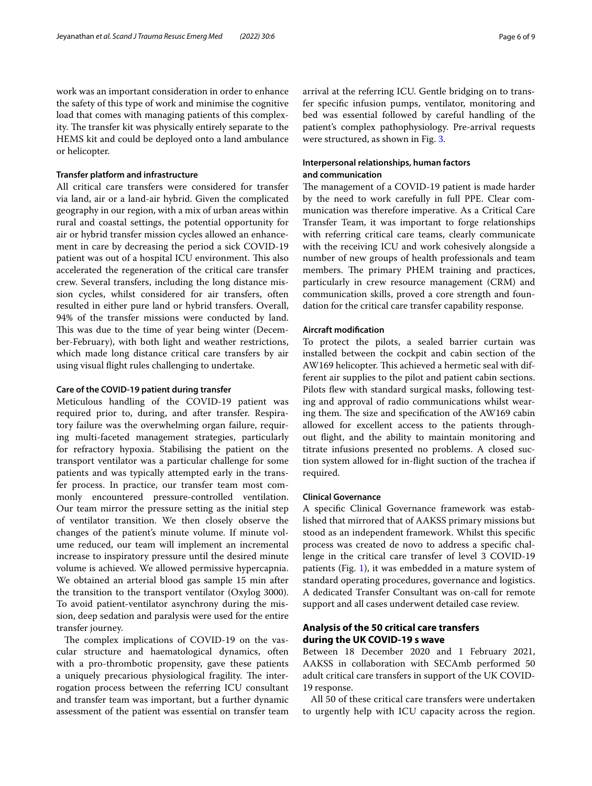work was an important consideration in order to enhance the safety of this type of work and minimise the cognitive load that comes with managing patients of this complexity. The transfer kit was physically entirely separate to the HEMS kit and could be deployed onto a land ambulance or helicopter.

## **Transfer platform and infrastructure**

All critical care transfers were considered for transfer via land, air or a land-air hybrid. Given the complicated geography in our region, with a mix of urban areas within rural and coastal settings, the potential opportunity for air or hybrid transfer mission cycles allowed an enhancement in care by decreasing the period a sick COVID-19 patient was out of a hospital ICU environment. This also accelerated the regeneration of the critical care transfer crew. Several transfers, including the long distance mission cycles, whilst considered for air transfers, often resulted in either pure land or hybrid transfers. Overall, 94% of the transfer missions were conducted by land. This was due to the time of year being winter (December-February), with both light and weather restrictions, which made long distance critical care transfers by air using visual fight rules challenging to undertake.

## **Care of the COVID‑19 patient during transfer**

Meticulous handling of the COVID-19 patient was required prior to, during, and after transfer. Respiratory failure was the overwhelming organ failure, requiring multi-faceted management strategies, particularly for refractory hypoxia. Stabilising the patient on the transport ventilator was a particular challenge for some patients and was typically attempted early in the transfer process. In practice, our transfer team most commonly encountered pressure-controlled ventilation. Our team mirror the pressure setting as the initial step of ventilator transition. We then closely observe the changes of the patient's minute volume. If minute volume reduced, our team will implement an incremental increase to inspiratory pressure until the desired minute volume is achieved. We allowed permissive hypercapnia. We obtained an arterial blood gas sample 15 min after the transition to the transport ventilator (Oxylog 3000). To avoid patient-ventilator asynchrony during the mission, deep sedation and paralysis were used for the entire transfer journey.

The complex implications of COVID-19 on the vascular structure and haematological dynamics, often with a pro-thrombotic propensity, gave these patients a uniquely precarious physiological fragility. The interrogation process between the referring ICU consultant and transfer team was important, but a further dynamic assessment of the patient was essential on transfer team arrival at the referring ICU. Gentle bridging on to transfer specifc infusion pumps, ventilator, monitoring and bed was essential followed by careful handling of the patient's complex pathophysiology. Pre-arrival requests were structured, as shown in Fig. [3](#page-6-0).

## **Interpersonal relationships, human factors and communication**

The management of a COVID-19 patient is made harder by the need to work carefully in full PPE. Clear communication was therefore imperative. As a Critical Care Transfer Team, it was important to forge relationships with referring critical care teams, clearly communicate with the receiving ICU and work cohesively alongside a number of new groups of health professionals and team members. The primary PHEM training and practices, particularly in crew resource management (CRM) and communication skills, proved a core strength and foundation for the critical care transfer capability response.

## **Aircraft modifcation**

To protect the pilots, a sealed barrier curtain was installed between the cockpit and cabin section of the AW169 helicopter. This achieved a hermetic seal with different air supplies to the pilot and patient cabin sections. Pilots flew with standard surgical masks, following testing and approval of radio communications whilst wearing them. The size and specification of the AW169 cabin allowed for excellent access to the patients throughout fight, and the ability to maintain monitoring and titrate infusions presented no problems. A closed suction system allowed for in-fight suction of the trachea if required.

## **Clinical Governance**

A specifc Clinical Governance framework was established that mirrored that of AAKSS primary missions but stood as an independent framework. Whilst this specifc process was created de novo to address a specifc challenge in the critical care transfer of level 3 COVID-19 patients (Fig. [1](#page-3-0)), it was embedded in a mature system of standard operating procedures, governance and logistics. A dedicated Transfer Consultant was on-call for remote support and all cases underwent detailed case review.

## **Analysis of the 50 critical care transfers during the UK COVID‑19 s wave**

Between 18 December 2020 and 1 February 2021, AAKSS in collaboration with SECAmb performed 50 adult critical care transfers in support of the UK COVID-19 response.

All 50 of these critical care transfers were undertaken to urgently help with ICU capacity across the region.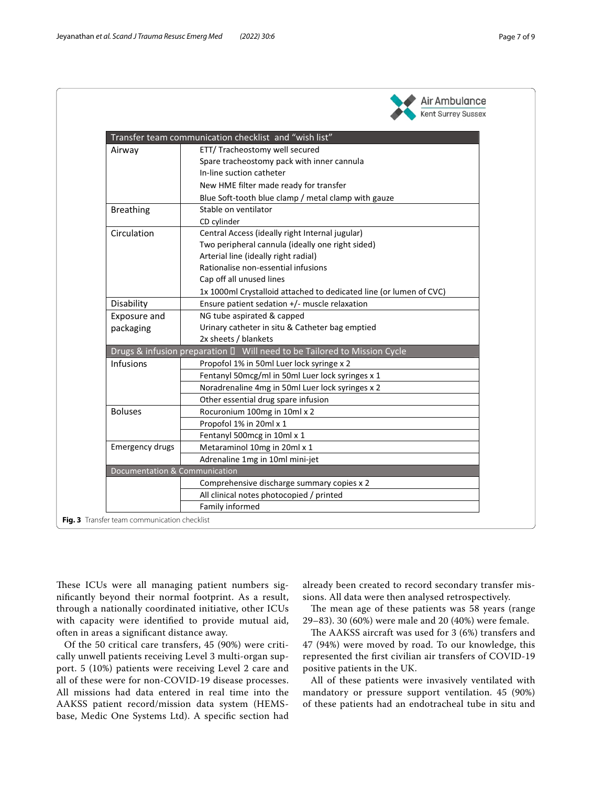|                                          | Transfer team communication checklist and "wish list"                    |  |  |
|------------------------------------------|--------------------------------------------------------------------------|--|--|
| Airway                                   | ETT/ Tracheostomy well secured                                           |  |  |
|                                          | Spare tracheostomy pack with inner cannula                               |  |  |
|                                          | In-line suction catheter                                                 |  |  |
|                                          | New HME filter made ready for transfer                                   |  |  |
|                                          | Blue Soft-tooth blue clamp / metal clamp with gauze                      |  |  |
| <b>Breathing</b>                         | Stable on ventilator                                                     |  |  |
|                                          | CD cylinder                                                              |  |  |
| Circulation                              | Central Access (ideally right Internal jugular)                          |  |  |
|                                          | Two peripheral cannula (ideally one right sided)                         |  |  |
|                                          | Arterial line (ideally right radial)                                     |  |  |
|                                          | Rationalise non-essential infusions                                      |  |  |
|                                          | Cap off all unused lines                                                 |  |  |
|                                          | 1x 1000ml Crystalloid attached to dedicated line (or lumen of CVC)       |  |  |
| Disability                               | Ensure patient sedation +/- muscle relaxation                            |  |  |
| Exposure and                             | NG tube aspirated & capped                                               |  |  |
| packaging                                | Urinary catheter in situ & Catheter bag emptied                          |  |  |
|                                          | 2x sheets / blankets                                                     |  |  |
|                                          | Drugs & infusion preparation □ Will need to be Tailored to Mission Cycle |  |  |
| Infusions                                | Propofol 1% in 50ml Luer lock syringe x 2                                |  |  |
|                                          | Fentanyl 50mcg/ml in 50ml Luer lock syringes x 1                         |  |  |
|                                          | Noradrenaline 4mg in 50ml Luer lock syringes x 2                         |  |  |
|                                          | Other essential drug spare infusion                                      |  |  |
| <b>Boluses</b>                           | Rocuronium 100mg in 10ml x 2                                             |  |  |
|                                          | Propofol 1% in 20ml x 1                                                  |  |  |
|                                          | Fentanyl 500mcg in 10ml x 1                                              |  |  |
| <b>Emergency drugs</b>                   | Metaraminol 10mg in 20ml x 1                                             |  |  |
|                                          | Adrenaline 1mg in 10ml mini-jet                                          |  |  |
| <b>Documentation &amp; Communication</b> |                                                                          |  |  |
|                                          | Comprehensive discharge summary copies x 2                               |  |  |
|                                          | All clinical notes photocopied / printed                                 |  |  |
|                                          | Family informed                                                          |  |  |

<span id="page-6-0"></span>**Fig. 3** Transfer team communication checklist

These ICUs were all managing patient numbers signifcantly beyond their normal footprint. As a result, through a nationally coordinated initiative, other ICUs with capacity were identifed to provide mutual aid, often in areas a signifcant distance away.

Of the 50 critical care transfers, 45 (90%) were critically unwell patients receiving Level 3 multi-organ support. 5 (10%) patients were receiving Level 2 care and all of these were for non-COVID-19 disease processes. All missions had data entered in real time into the AAKSS patient record/mission data system (HEMSbase, Medic One Systems Ltd). A specifc section had already been created to record secondary transfer missions. All data were then analysed retrospectively.

The mean age of these patients was 58 years (range 29–83). 30 (60%) were male and 20 (40%) were female.

The AAKSS aircraft was used for 3 (6%) transfers and 47 (94%) were moved by road. To our knowledge, this represented the frst civilian air transfers of COVID-19 positive patients in the UK.

All of these patients were invasively ventilated with mandatory or pressure support ventilation. 45 (90%) of these patients had an endotracheal tube in situ and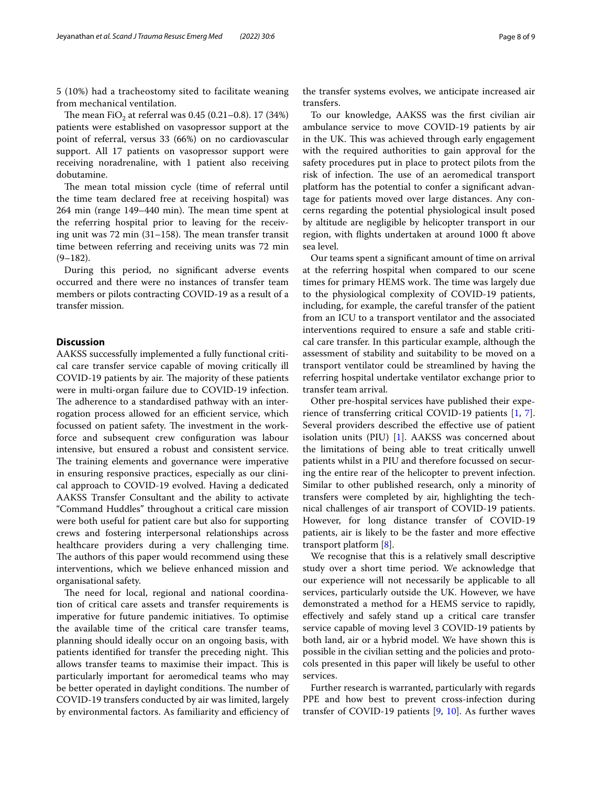5 (10%) had a tracheostomy sited to facilitate weaning from mechanical ventilation.

The mean FiO<sub>2</sub> at referral was 0.45 (0.21–0.8). 17 (34%) patients were established on vasopressor support at the point of referral, versus 33 (66%) on no cardiovascular support. All 17 patients on vasopressor support were receiving noradrenaline, with 1 patient also receiving dobutamine.

The mean total mission cycle (time of referral until the time team declared free at receiving hospital) was 264 min (range 149–440 min). The mean time spent at the referring hospital prior to leaving for the receiving unit was 72 min  $(31–158)$ . The mean transfer transit time between referring and receiving units was 72 min  $(9-182)$ .

During this period, no signifcant adverse events occurred and there were no instances of transfer team members or pilots contracting COVID-19 as a result of a transfer mission.

## **Discussion**

AAKSS successfully implemented a fully functional critical care transfer service capable of moving critically ill COVID-19 patients by air. The majority of these patients were in multi-organ failure due to COVID-19 infection. The adherence to a standardised pathway with an interrogation process allowed for an efficient service, which focussed on patient safety. The investment in the workforce and subsequent crew confguration was labour intensive, but ensured a robust and consistent service. The training elements and governance were imperative in ensuring responsive practices, especially as our clinical approach to COVID-19 evolved. Having a dedicated AAKSS Transfer Consultant and the ability to activate "Command Huddles" throughout a critical care mission were both useful for patient care but also for supporting crews and fostering interpersonal relationships across healthcare providers during a very challenging time. The authors of this paper would recommend using these interventions, which we believe enhanced mission and organisational safety.

The need for local, regional and national coordination of critical care assets and transfer requirements is imperative for future pandemic initiatives. To optimise the available time of the critical care transfer teams, planning should ideally occur on an ongoing basis, with patients identified for transfer the preceding night. This allows transfer teams to maximise their impact. This is particularly important for aeromedical teams who may be better operated in daylight conditions. The number of COVID-19 transfers conducted by air was limited, largely by environmental factors. As familiarity and efficiency of

the transfer systems evolves, we anticipate increased air transfers.

To our knowledge, AAKSS was the frst civilian air ambulance service to move COVID-19 patients by air in the UK. This was achieved through early engagement with the required authorities to gain approval for the safety procedures put in place to protect pilots from the risk of infection. The use of an aeromedical transport platform has the potential to confer a signifcant advantage for patients moved over large distances. Any concerns regarding the potential physiological insult posed by altitude are negligible by helicopter transport in our region, with fights undertaken at around 1000 ft above sea level.

Our teams spent a signifcant amount of time on arrival at the referring hospital when compared to our scene times for primary HEMS work. The time was largely due to the physiological complexity of COVID-19 patients, including, for example, the careful transfer of the patient from an ICU to a transport ventilator and the associated interventions required to ensure a safe and stable critical care transfer. In this particular example, although the assessment of stability and suitability to be moved on a transport ventilator could be streamlined by having the referring hospital undertake ventilator exchange prior to transfer team arrival.

Other pre-hospital services have published their experience of transferring critical COVID-19 patients [\[1](#page-8-0), [7](#page-8-6)]. Several providers described the efective use of patient isolation units (PIU) [[1\]](#page-8-0). AAKSS was concerned about the limitations of being able to treat critically unwell patients whilst in a PIU and therefore focussed on securing the entire rear of the helicopter to prevent infection. Similar to other published research, only a minority of transfers were completed by air, highlighting the technical challenges of air transport of COVID-19 patients. However, for long distance transfer of COVID-19 patients, air is likely to be the faster and more efective transport platform [[8](#page-8-7)].

We recognise that this is a relatively small descriptive study over a short time period. We acknowledge that our experience will not necessarily be applicable to all services, particularly outside the UK. However, we have demonstrated a method for a HEMS service to rapidly, efectively and safely stand up a critical care transfer service capable of moving level 3 COVID-19 patients by both land, air or a hybrid model. We have shown this is possible in the civilian setting and the policies and protocols presented in this paper will likely be useful to other services.

Further research is warranted, particularly with regards PPE and how best to prevent cross-infection during transfer of COVID-19 patients  $[9, 10]$  $[9, 10]$  $[9, 10]$  $[9, 10]$  $[9, 10]$ . As further waves